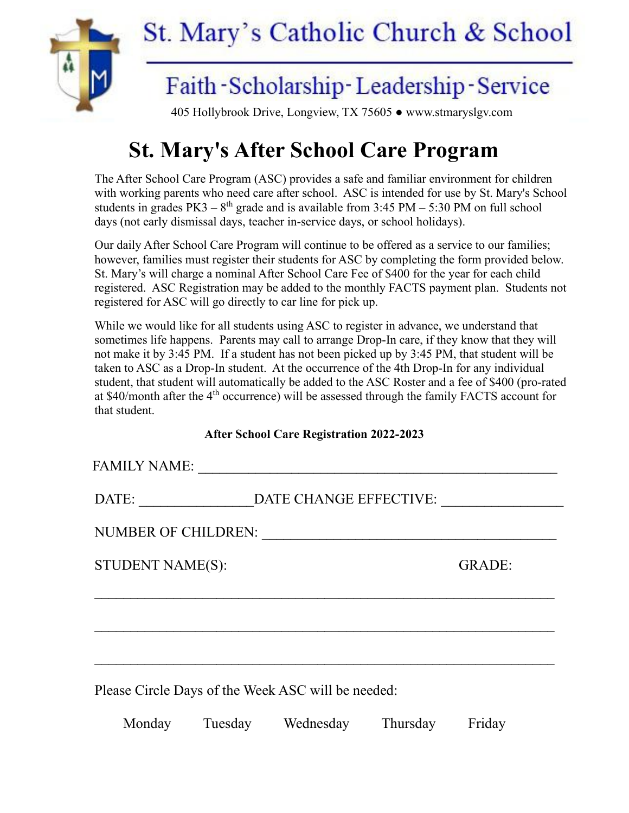

## **St. Mary's After School Care Program**

The After School Care Program (ASC) provides a safe and familiar environment for children with working parents who need care after school. ASC is intended for use by St. Mary's School students in grades  $PK3 - 8<sup>th</sup>$  grade and is available from 3:45 PM – 5:30 PM on full school days (not early dismissal days, teacher in-service days, or school holidays).

Our daily After School Care Program will continue to be offered as a service to our families; however, families must register their students for ASC by completing the form provided below. St. Mary's will charge a nominal After School Care Fee of \$400 for the year for each child registered. ASC Registration may be added to the monthly FACTS payment plan. Students not registered for ASC will go directly to car line for pick up.

While we would like for all students using ASC to register in advance, we understand that sometimes life happens. Parents may call to arrange Drop-In care, if they know that they will not make it by 3:45 PM. If a student has not been picked up by 3:45 PM, that student will be taken to ASC as a Drop-In student. At the occurrence of the 4th Drop-In for any individual student, that student will automatically be added to the ASC Roster and a fee of \$400 (pro-rated at \$40/month after the 4<sup>th</sup> occurrence) will be assessed through the family FACTS account for that student.

## **After School Care Registration 2022-2023**

| DATE:                      | DATE CHANGE EFFECTIVE: |               |
|----------------------------|------------------------|---------------|
| <b>NUMBER OF CHILDREN:</b> |                        |               |
| STUDENT NAME(S):           |                        | <b>GRADE:</b> |
|                            |                        |               |
|                            |                        |               |
|                            |                        |               |
|                            |                        |               |

Monday Tuesday Wednesday Thursday Friday